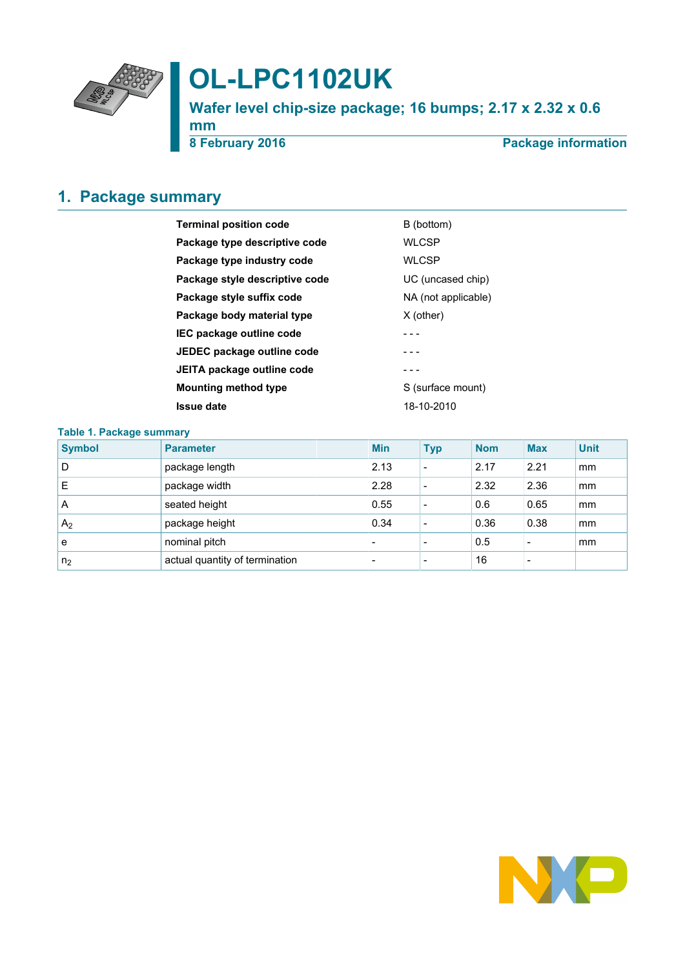

# **OL-LPC1102UK**

**Wafer level chip-size package; 16 bumps; 2.17 x 2.32 x 0.6**

**mm**

**8 February 2016 Package information**

## <span id="page-0-0"></span>**1. Package summary**

| <b>Terminal position code</b>              | B (bottom)          |  |  |  |
|--------------------------------------------|---------------------|--|--|--|
| Package type descriptive code              | <b>WLCSP</b>        |  |  |  |
| <b>WLCSP</b><br>Package type industry code |                     |  |  |  |
| Package style descriptive code             | UC (uncased chip)   |  |  |  |
| Package style suffix code                  | NA (not applicable) |  |  |  |
| Package body material type                 | $X$ (other)         |  |  |  |
| IEC package outline code                   |                     |  |  |  |
| JEDEC package outline code                 |                     |  |  |  |
| JEITA package outline code                 |                     |  |  |  |
| <b>Mounting method type</b>                | S (surface mount)   |  |  |  |
| Issue date                                 | 18-10-2010          |  |  |  |
|                                            |                     |  |  |  |

#### **Table 1. Package summary**

| <b>Symbol</b>  | <b>Parameter</b>               | <b>Min</b>               | <b>Typ</b>               | <b>Nom</b> | <b>Max</b>               | <b>Unit</b> |
|----------------|--------------------------------|--------------------------|--------------------------|------------|--------------------------|-------------|
| D              | package length                 | 2.13                     | $\overline{\phantom{0}}$ | 2.17       | 2.21                     | mm          |
| Е              | package width                  | 2.28                     | $\overline{\phantom{0}}$ | 2.32       | 2.36                     | mm          |
| A              | seated height                  | 0.55                     | $\overline{\phantom{0}}$ | 0.6        | 0.65                     | mm          |
| A <sub>2</sub> | package height                 | 0.34                     |                          | 0.36       | 0.38                     | mm          |
| e              | nominal pitch                  | $\overline{\phantom{0}}$ |                          | 0.5        |                          | mm          |
| n <sub>2</sub> | actual quantity of termination | $\overline{\phantom{0}}$ | $\overline{\phantom{0}}$ | 16         | $\overline{\phantom{a}}$ |             |

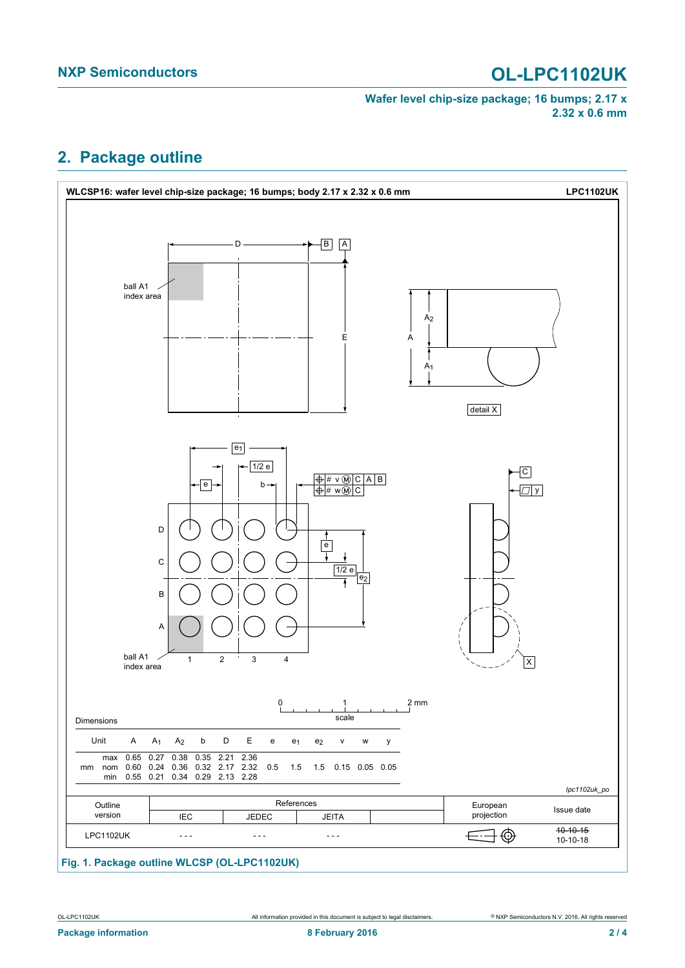# **NXP Semiconductors OL-LPC1102UK**

**Wafer level chip-size package; 16 bumps; 2.17 x 2.32 x 0.6 mm**

### <span id="page-1-0"></span>**2. Package outline**



### **Fig. 1. Package outline WLCSP (OL-LPC1102UK)**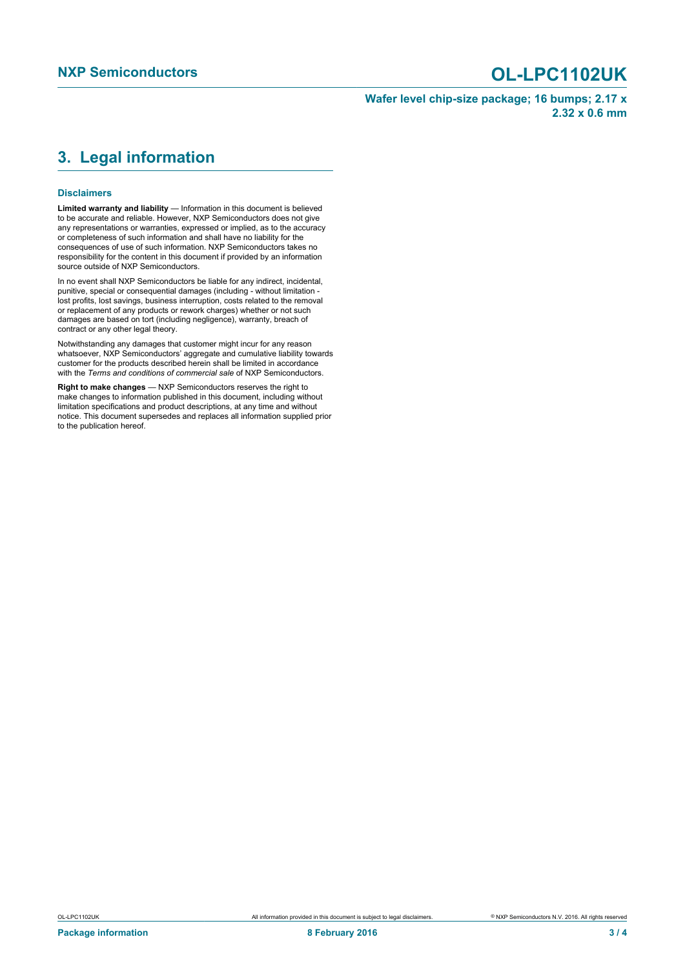# **NXP Semiconductors OL-LPC1102UK**

**Wafer level chip-size package; 16 bumps; 2.17 x 2.32 x 0.6 mm**

### <span id="page-2-0"></span>**3. Legal information**

#### **Disclaimers**

**Limited warranty and liability** — Information in this document is believed to be accurate and reliable. However, NXP Semiconductors does not give any representations or warranties, expressed or implied, as to the accuracy or completeness of such information and shall have no liability for the consequences of use of such information. NXP Semiconductors takes no responsibility for the content in this document if provided by an information source outside of NXP Semiconductors.

In no event shall NXP Semiconductors be liable for any indirect, incidental, punitive, special or consequential damages (including - without limitation lost profits, lost savings, business interruption, costs related to the removal or replacement of any products or rework charges) whether or not such damages are based on tort (including negligence), warranty, breach of contract or any other legal theory.

Notwithstanding any damages that customer might incur for any reason whatsoever, NXP Semiconductors' aggregate and cumulative liability towards customer for the products described herein shall be limited in accordance with the *Terms and conditions of commercial sale* of NXP Semiconductors.

**Right to make changes** — NXP Semiconductors reserves the right to make changes to information published in this document, including without limitation specifications and product descriptions, at any time and without notice. This document supersedes and replaces all information supplied prior to the publication hereof.